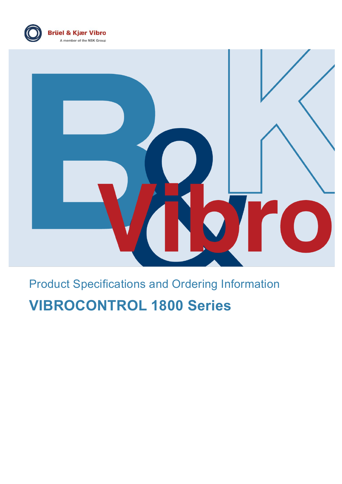



# Product Specifications and Ordering Information

# **VIBROCONTROL 1800 Series**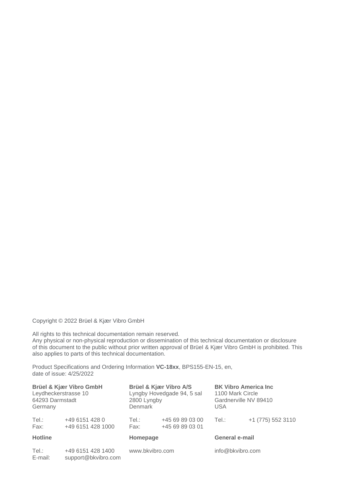Copyright © 2022 Brüel & Kjær Vibro GmbH

All rights to this technical documentation remain reserved. Any physical or non-physical reproduction or dissemination of this technical documentation or disclosure of this document to the public without prior written approval of Brüel & Kjær Vibro GmbH is prohibited. This also applies to parts of this technical documentation.

Product Specifications and Ordering Information **VC-18xx**, BPS155-EN-15, en, date of issue: 4/25/2022

| Brüel & Kjær Vibro GmbH<br>Leydheckerstrasse 10<br>64293 Darmstadt<br>Germany |                                          | Brüel & Kjær Vibro A/S<br>Lyngby Hovedgade 94, 5 sal<br>2800 Lyngby<br>Denmark |                                    | <b>BK Vibro America Inc</b><br>1100 Mark Circle<br>Gardnerville NV 89410<br>USA. |                   |
|-------------------------------------------------------------------------------|------------------------------------------|--------------------------------------------------------------------------------|------------------------------------|----------------------------------------------------------------------------------|-------------------|
| Tel.:<br>Fax:                                                                 | +49 6151 428 0<br>+49 6151 428 1000      | Tel.:<br>Fax:                                                                  | +45 69 89 03 00<br>+45 69 89 03 01 | Tel.:                                                                            | +1 (775) 552 3110 |
| <b>Hotline</b>                                                                |                                          | Homepage                                                                       |                                    | General e-mail                                                                   |                   |
| Tel.:<br>E-mail:                                                              | +49 6151 428 1400<br>support@bkvibro.com | www.bkvibro.com                                                                |                                    | info@bkvibro.com                                                                 |                   |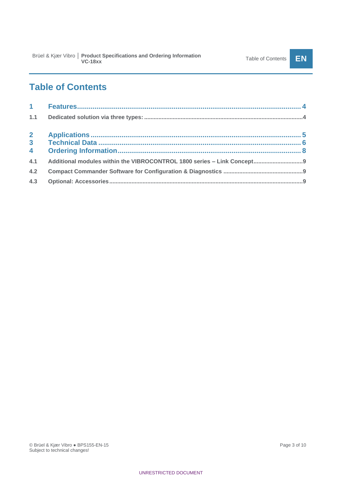## **Table of Contents**

| $\overline{4}$ |  |
|----------------|--|
|                |  |
| 4.2            |  |
| 4.3            |  |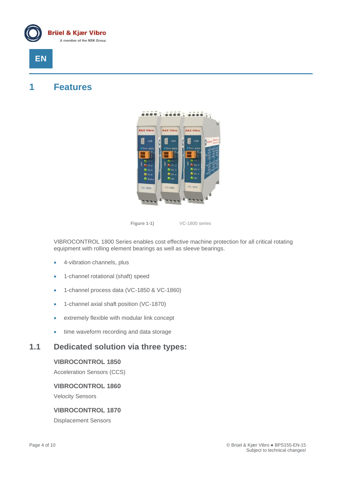

## **EN**

### <span id="page-3-0"></span>**1 Features**



**Figure 1-1)** VC-1800 series

VIBROCONTROL 1800 Series enables cost effective machine protection for all critical rotating equipment with rolling element bearings as well as sleeve bearings.

- 4-vibration channels, plus
- 1-channel rotational (shaft) speed
- 1-channel process data (VC-1850 & VC-1860)
- 1-channel axial shaft position (VC-1870)
- extremely flexible with modular link concept
- time waveform recording and data storage

### <span id="page-3-1"></span>**1.1 Dedicated solution via three types:**

#### **VIBROCONTROL 1850**

Acceleration Sensors (CCS)

#### **VIBROCONTROL 1860**

Velocity Sensors

#### **VIBROCONTROL 1870**

Displacement Sensors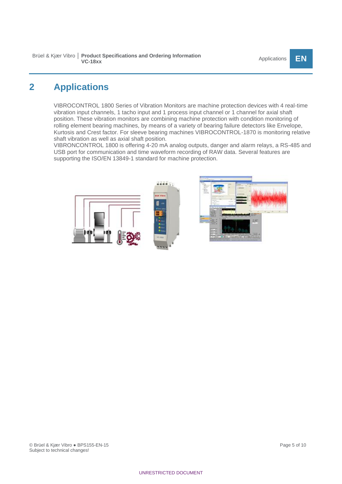## <span id="page-4-0"></span>**2 Applications**

VIBROCONTROL 1800 Series of Vibration Monitors are machine protection devices with 4 real-time vibration input channels, 1 tacho input and 1 process input channel or 1 channel for axial shaft position. These vibration monitors are combining machine protection with condition monitoring of rolling element bearing machines, by means of a variety of bearing failure detectors like Envelope, Kurtosis and Crest factor. For sleeve bearing machines VIBROCONTROL-1870 is monitoring relative shaft vibration as well as axial shaft position.

VIBRONCONTROL 1800 is offering 4-20 mA analog outputs, danger and alarm relays, a RS-485 and USB port for communication and time waveform recording of RAW data. Several features are supporting the ISO/EN 13849-1 standard for machine protection.

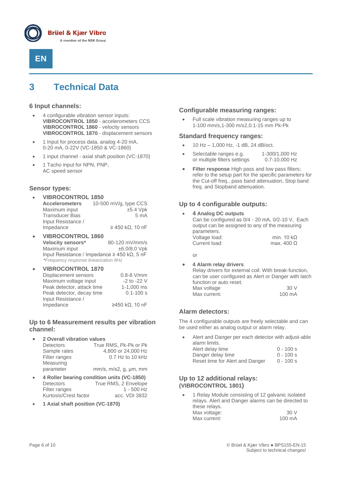



## <span id="page-5-0"></span>**3 Technical Data**

#### **6 Input channels:**

- 4 configurable vibration sensor inputs: **VIBROCONTROL 1850** - accelerometers CCS **VIBROCONTROL 1860** - velocity sensors **VIBROCONTROL 1870** - displacement sensors
- 1 Input for process data, analog 4-20 mA, 0-20 mA, 0-22V (VC-1850 & VC-1860)
- 1 input channel axial shaft position (VC-1870)
- 1 Tacho input for NPN, PNP, AC speed sensor

#### **Sensor types:**

- **VIBROCONTROL 1850 Accelerometers** 10-500 mV/g, type CCS Maximum input  $\pm$ 5.4 Vpk Transducer Bias 6 mA Input Resistance /  $\geq$  450 kΩ, 10 nF
- **VIBROCONTROL 1860 Velocity sensors\*** 80-120 mV/mm/s<br>Maximum input  $\pm$ 6.0/8.0 Vpk Maximum input Input Resistance / Impedance ≥ 450 kΩ, 5 nF  *\*Frequency response linearization 8Hz*
- **VIBROCONTROL 1870** Displacement sensors 0.8-8 V/mm<br>Maximum voltage input can be cannot can be called Maximum voltage input -2 to -22 V<br>Peak detector, attack time - 1-1,000 ms Peak detector, attack time Peak detector, decay time 0.1-100 s Input Resistance / Impedance ≥450 kΩ, 10 nF

#### **Up to 6 Measurement results per vibration channel:**

• **2 Overall vibration values**

| <b>Detectors</b> | True RMS, Pk-Pk or Pk               |
|------------------|-------------------------------------|
| Sample rates     | 4,800 or 24,000 Hz                  |
| Filter ranges    | $0.7$ Hz to 10 kHz                  |
| Measuring        |                                     |
| parameter        | $mm/s$ , $m/s2$ , g, $\mu m$ , $mm$ |
|                  |                                     |

- **4 Roller bearing condition units (VC-1850)** Detectors True RMS, 2 Envelope<br>Filter ranges 1 - 500 Hz Filter ranges Kurtosis/Crest factor acc. VDI 3832
- **1 Axial shaft position (VC-1870)**

#### **Configurable measuring ranges:**

• Full scale vibration measuring ranges up to 1-100 mm/s,1-300 m/s2,0.1-15 mm Pk-Pk

#### **Standard frequency ranges:**

- 10 Hz 1,000 Hz, -1 dB, 24 dB/oct.
- Selectable ranges e.g. 1-300/1,000 Hz<br>or multiple filters settings 0.7-10,000 Hz or multiple filters settings
- **Filter response** High pass and low pass filters; refer to the setup part for the specific parameters for the Cut-off freq., pass band attenuation, Stop band freq. and Stopband attenuation.

#### **Up to 4 configurable outputs:**

• **4 Analog DC outputs** Can be configured as 0/4 - 20 mA, 0/2-10 V, Each output can be assigned to any of the measuring parameters.

| parameters.   |                   |
|---------------|-------------------|
| Voltage load: | min. 10 $k\Omega$ |
| Current load: | max. 400 $\Omega$ |

or

• **4 Alarm relay drivers** Relay drivers for external coil: With break-function, can be user configured as Alert or Danger with latch function or auto reset. Max voltage 30 V<br>Max current: 100 mA Max current:

#### **Alarm detectors:**

The 4 configurable outputs are freely selectable and can be used either as analog output or alarm relay.

• Alert and Danger per each detector with adjust-able alarm limits.

| Alert delay time                | $0 - 100 s$ |
|---------------------------------|-------------|
| Danger delay time               | $0 - 100 s$ |
| Reset time for Alert and Danger | $0 - 100 s$ |

#### **Up to 12 additional relays: (VIBROCONTROL 1801)**

• 1 Relay Module consisting of 12 galvanic isolated relays. Alert and Danger alarms can be directed to these relays. Max voltage: 30 V<br>
Max current: 30 V<br>
100 mA Max current: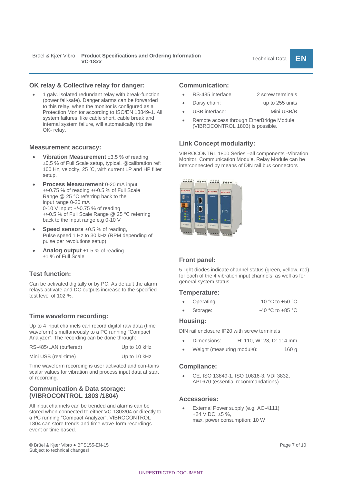• 1 galv. isolated redundant relay with break-function (power fail-safe). Danger alarms can be forwarded to this relay, when the monitor is configured as a Protection Monitor according to ISO/EN 13849-1. All system failures, like cable short, cable break and internal system failure, will automatically trip the OK- relay.

#### **Measurement accuracy:**

- **Vibration Measurement** ±3.5 % of reading ±0,5 % of Full Scale setup, typical, @calibration ref: 100 Hz, velocity, 25 ̊C, with current LP and HP filter setup.
- **Process Measurement** 0-20 mA input: +/-0.75 % of reading +/-0.5 % of Full Scale Range @ 25 °C referring back to the input range 0-20 mA 0-10 V input: +/-0.75 % of reading +/-0.5 % of Full Scale Range @ 25 °C referring back to the input range e.g 0-10 V
- **Speed sensors** ±0.5 % of reading, Pulse speed 1 Hz to 30 kHz (RPM depending of pulse per revolutions setup)
- **Analog output** ±1.5 % of reading ±1 % of Full Scale

#### **Test function:**

Can be activated digitally or by PC. As default the alarm relays activate and DC outputs increase to the specified test level of 102 %.

#### **Time waveform recording:**

Up to 4 input channels can record digital raw data (time waveform) simultaneously to a PC running "Compact Analyzer". The recording can be done through:

| RS-485/LAN (buffered) | Up to 10 kHz |
|-----------------------|--------------|
| Mini USB (real-time)  | Up to 10 kHz |

Time waveform recording is user activated and con-tains scalar values for vibration and process input data at start of recording.

#### **Communication & Data storage: (VIBROCONTROL 1803 /1804)**

All input channels can be trended and alarms can be stored when connected to either VC-1803/04 or directly to a PC running "Compact Analyzer". VIBROCONTROL 1804 can store trends and time wave-form recordings event or time based.

#### © Brüel & Kjær Vibro ● BPS155-EN-15 Page 7 of 10 Subject to technical changes!

#### **Communication:**

- RS-485 interface 2 screw terminals
- Daisy chain: up to 255 units
- USB interface: Mini USB/B
- Remote access through EtherBridge Module (VIBROCONTROL 1803) is possible.

#### **Link Concept modularity:**

VIBROCONTRL 1800 Series –all components -Vibration Monitor, Communication Module, Relay Module can be interconnected by means of DIN rail bus connectors



#### **Front panel:**

5 light diodes indicate channel status (green, yellow, red) for each of the 4 vibration input channels, as well as for general system status.

#### **Temperature:**

- Operating:  $-10 °C$  to  $+50 °C$
- Storage: -40 °C to +85 °C

#### **Housing:**

DIN rail enclosure IP20 with screw terminals

- Dimensions: H: 110, W: 23, D: 114 mm
- Weight (measuring module): 160 g

#### **Compliance:**

• CE, ISO 13849-1, ISO 10816-3, VDI 3832, API 670 (essential recommandations)

#### **Accessories:**

External Power supply (e.g. AC-4111) +24 V DC, ±5 %, max. power consumption; 10 W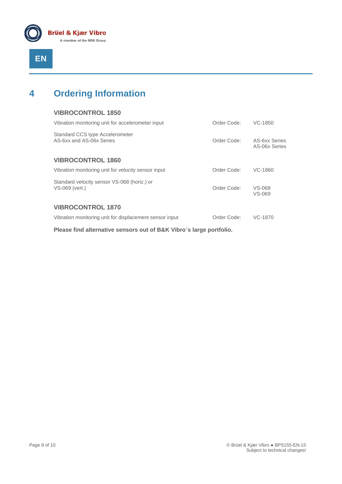

## <span id="page-7-0"></span>**4 Ordering Information**

| <b>VIBROCONTROL 1850</b>                                      |             |                                |
|---------------------------------------------------------------|-------------|--------------------------------|
| Vibration monitoring unit for accelerometer input             | Order Code: | VC-1850                        |
| Standard CCS type Accelerometer<br>AS-6xx and AS-06x Series   | Order Code: | AS-6xx Series<br>AS-06x Series |
| <b>VIBROCONTROL 1860</b>                                      |             |                                |
| Vibration monitoring unit for velocity sensor input           | Order Code: | VC-1860                        |
| Standard velocity sensor VS-068 (horiz.) or<br>VS-069 (vert.) | Order Code: | VS-068<br>VS-069               |
| <b>VIBROCONTROL 1870</b>                                      |             |                                |
| Vibration monitoring unit for displacement sensor input       | Order Code: | VC-1870                        |

**Please find alternative sensors out of B&K Vibro´s large portfolio.**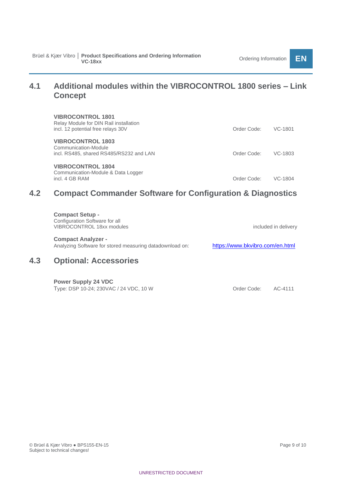### <span id="page-8-0"></span>**4.1 Additional modules within the VIBROCONTROL 1800 series – Link Concept**

| <b>VIBROCONTROL 1801</b><br>Relay Module for DIN Rail installation<br>incl. 12 potential free relays 30V | Order Code: | VC-1801 |
|----------------------------------------------------------------------------------------------------------|-------------|---------|
| <b>VIBROCONTROL 1803</b><br>Communication-Module<br>incl. RS485, shared RS485/RS232 and LAN              | Order Code: | VC-1803 |
| <b>VIBROCONTROL 1804</b><br>Communication-Module & Data Logger<br>incl. 4 GB RAM                         | Order Code: | VC-1804 |

### <span id="page-8-1"></span>**4.2 Compact Commander Software for Configuration & Diagnostics**

<span id="page-8-2"></span>

| 4.3 | <b>Optional: Accessories</b>                                                                 |                                 |
|-----|----------------------------------------------------------------------------------------------|---------------------------------|
|     | <b>Compact Analyzer -</b><br>Analyzing Software for stored measuring datadownload on:        | https://www.bkvibro.com/en.html |
|     | <b>Compact Setup -</b><br>Configuration Software for all<br><b>VIBROCONTROL 18xx modules</b> | included in delivery            |

**Power Supply 24 VDC** Type: DSP 10-24; 230VAC / 24 VDC, 10 W Order Code: AC-4111